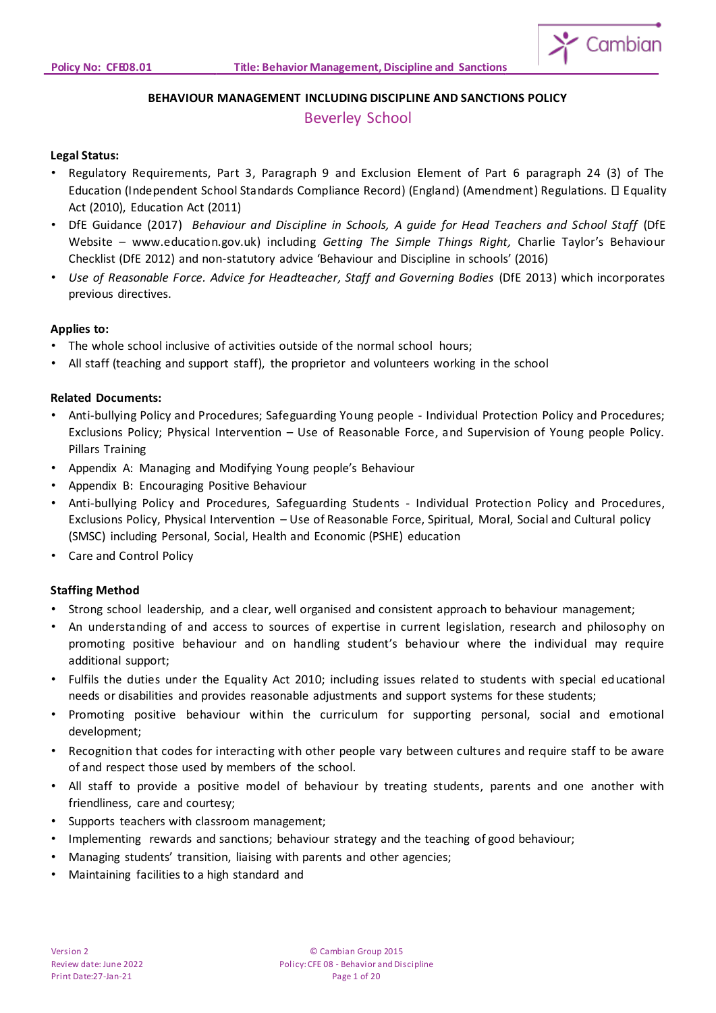

# **BEHAVIOUR MANAGEMENT INCLUDING DISCIPLINE AND SANCTIONS POLICY**

# Beverley School

# **Legal Status:**

- Regulatory Requirements, Part 3, Paragraph 9 and Exclusion Element of Part 6 paragraph 24 (3) of The Education (Independent School Standards Compliance Record) (England) (Amendment) Regulations. Equality Act (2010), Education Act (2011)
- DfE Guidance (2017) *Behaviour and Discipline in Schools, A guide for Head Teachers and School Staff* (DfE Website – www.education.gov.uk) including *Getting The Simple Things Right,* Charlie Taylor's Behaviour Checklist (DfE 2012) and non-statutory advice 'Behaviour and Discipline in schools' (2016)
- *Use of Reasonable Force. Advice for Headteacher, Staff and Governing Bodies* (DfE 2013) which incorporates previous directives.

# **Applies to:**

- The whole school inclusive of activities outside of the normal school hours;
- All staff (teaching and support staff), the proprietor and volunteers working in the school

# **Related Documents:**

- Anti-bullying Policy and Procedures; Safeguarding Young people Individual Protection Policy and Procedures; Exclusions Policy; Physical Intervention – Use of Reasonable Force, and Supervision of Young people Policy. Pillars Training
- Appendix A: Managing and Modifying Young people's Behaviour
- Appendix B: Encouraging Positive Behaviour
- Anti-bullying Policy and Procedures, Safeguarding Students Individual Protection Policy and Procedures, Exclusions Policy, Physical Intervention – Use of Reasonable Force, Spiritual, Moral, Social and Cultural policy (SMSC) including Personal, Social, Health and Economic (PSHE) education
- Care and Control Policy

# **Staffing Method**

- Strong school leadership, and a clear, well organised and consistent approach to behaviour management;
- An understanding of and access to sources of expertise in current legislation, research and philosophy on promoting positive behaviour and on handling student's behaviour where the individual may require additional support;
- Fulfils the duties under the Equality Act 2010; including issues related to students with special educational needs or disabilities and provides reasonable adjustments and support systems for these students;
- Promoting positive behaviour within the curriculum for supporting personal, social and emotional development;
- Recognition that codes for interacting with other people vary between cultures and require staff to be aware of and respect those used by members of the school.
- All staff to provide a positive model of behaviour by treating students, parents and one another with friendliness, care and courtesy;
- Supports teachers with classroom management;
- Implementing rewards and sanctions; behaviour strategy and the teaching of good behaviour;
- Managing students' transition, liaising with parents and other agencies;
- Maintaining facilities to a high standard and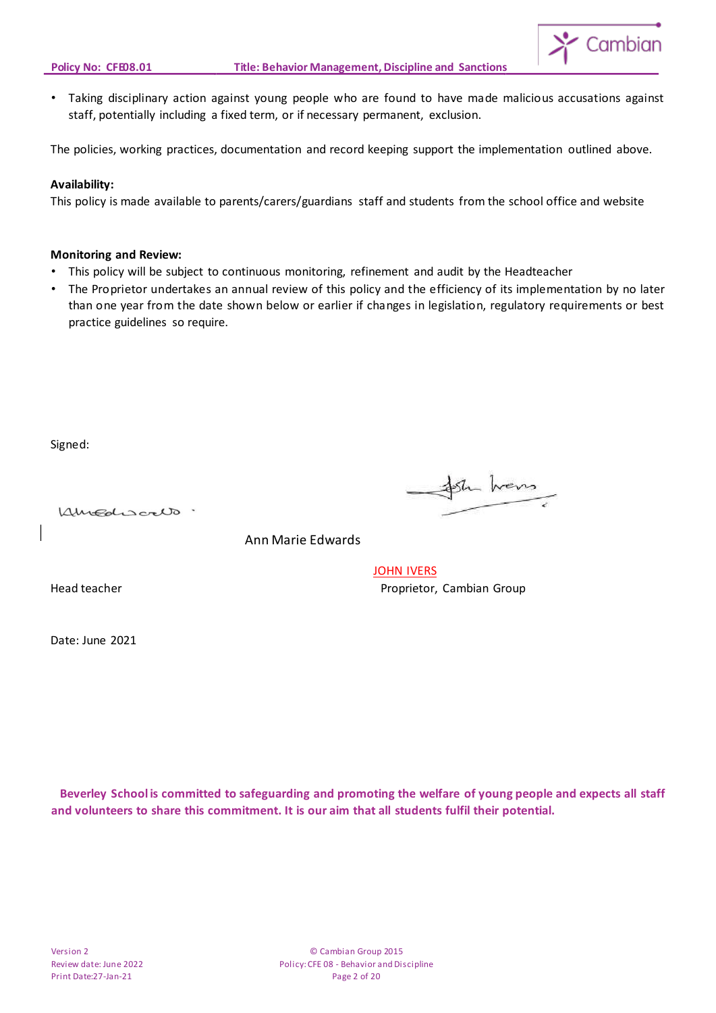

• Taking disciplinary action against young people who are found to have made malicious accusations against staff, potentially including a fixed term, or if necessary permanent, exclusion.

The policies, working practices, documentation and record keeping support the implementation outlined above.

#### **Availability:**

This policy is made available to parents/carers/guardians staff and students from the school office and website

#### **Monitoring and Review:**

- This policy will be subject to continuous monitoring, refinement and audit by the Headteacher
- The Proprietor undertakes an annual review of this policy and the efficiency of its implementation by no later than one year from the date shown below or earlier if changes in legislation, regulatory requirements or best practice guidelines so require.

Signed:

Kingdiscalo.

Sh hans

Ann Marie Edwards

Date: June 2021

**JOHN IVERS** Head teacher **Proprietor**, Cambian Group

 **Beverley School is committed to safeguarding and promoting the welfare of young people and expects all staff and volunteers to share this commitment. It is our aim that all students fulfil their potential.**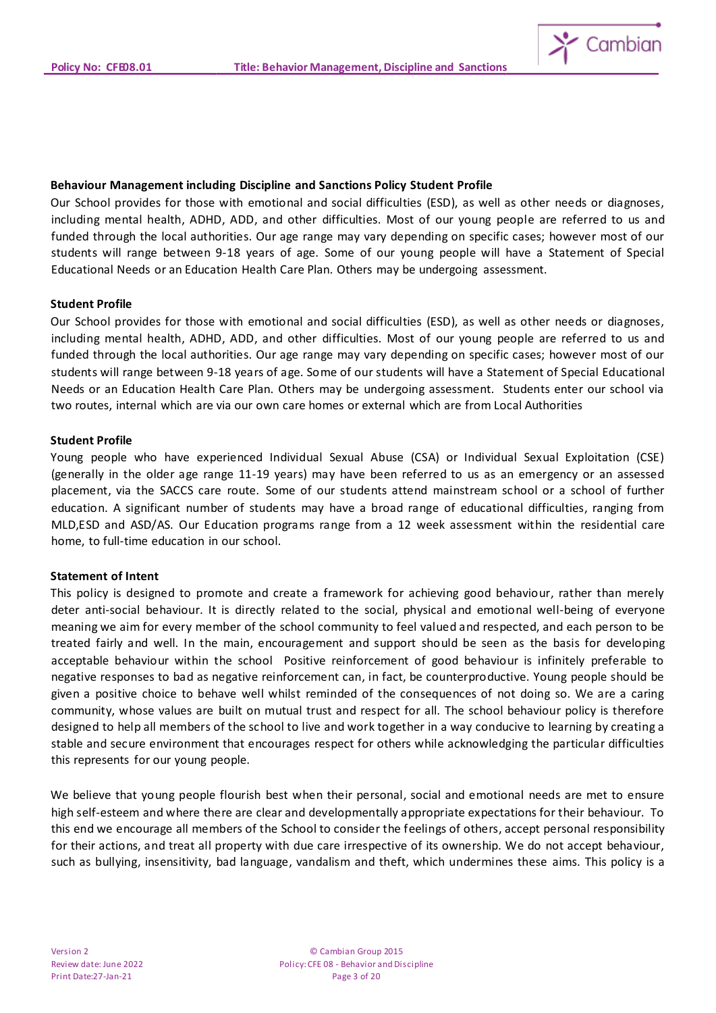

#### **Behaviour Management including Discipline and Sanctions Policy Student Profile**

Our School provides for those with emotional and social difficulties (ESD), as well as other needs or diagnoses, including mental health, ADHD, ADD, and other difficulties. Most of our young people are referred to us and funded through the local authorities. Our age range may vary depending on specific cases; however most of our students will range between 9-18 years of age. Some of our young people will have a Statement of Special Educational Needs or an Education Health Care Plan. Others may be undergoing assessment.

#### **Student Profile**

Our School provides for those with emotional and social difficulties (ESD), as well as other needs or diagnoses, including mental health, ADHD, ADD, and other difficulties. Most of our young people are referred to us and funded through the local authorities. Our age range may vary depending on specific cases; however most of our students will range between 9-18 years of age. Some of our students will have a Statement of Special Educational Needs or an Education Health Care Plan. Others may be undergoing assessment. Students enter our school via two routes, internal which are via our own care homes or external which are from Local Authorities

#### **Student Profile**

Young people who have experienced Individual Sexual Abuse (CSA) or Individual Sexual Exploitation (CSE) (generally in the older age range 11-19 years) may have been referred to us as an emergency or an assessed placement, via the SACCS care route. Some of our students attend mainstream school or a school of further education. A significant number of students may have a broad range of educational difficulties, ranging from MLD,ESD and ASD/AS. Our Education programs range from a 12 week assessment within the residential care home, to full-time education in our school.

#### **Statement of Intent**

This policy is designed to promote and create a framework for achieving good behaviour, rather than merely deter anti-social behaviour. It is directly related to the social, physical and emotional well-being of everyone meaning we aim for every member of the school community to feel valued and respected, and each person to be treated fairly and well. In the main, encouragement and support should be seen as the basis for developing acceptable behaviour within the school Positive reinforcement of good behaviour is infinitely preferable to negative responses to bad as negative reinforcement can, in fact, be counterproductive. Young people should be given a positive choice to behave well whilst reminded of the consequences of not doing so. We are a caring community, whose values are built on mutual trust and respect for all. The school behaviour policy is therefore designed to help all members of the school to live and work together in a way conducive to learning by creating a stable and secure environment that encourages respect for others while acknowledging the particular difficulties this represents for our young people.

We believe that young people flourish best when their personal, social and emotional needs are met to ensure high self-esteem and where there are clear and developmentally appropriate expectations for their behaviour. To this end we encourage all members of the School to consider the feelings of others, accept personal responsibility for their actions, and treat all property with due care irrespective of its ownership. We do not accept behaviour, such as bullying, insensitivity, bad language, vandalism and theft, which undermines these aims. This policy is a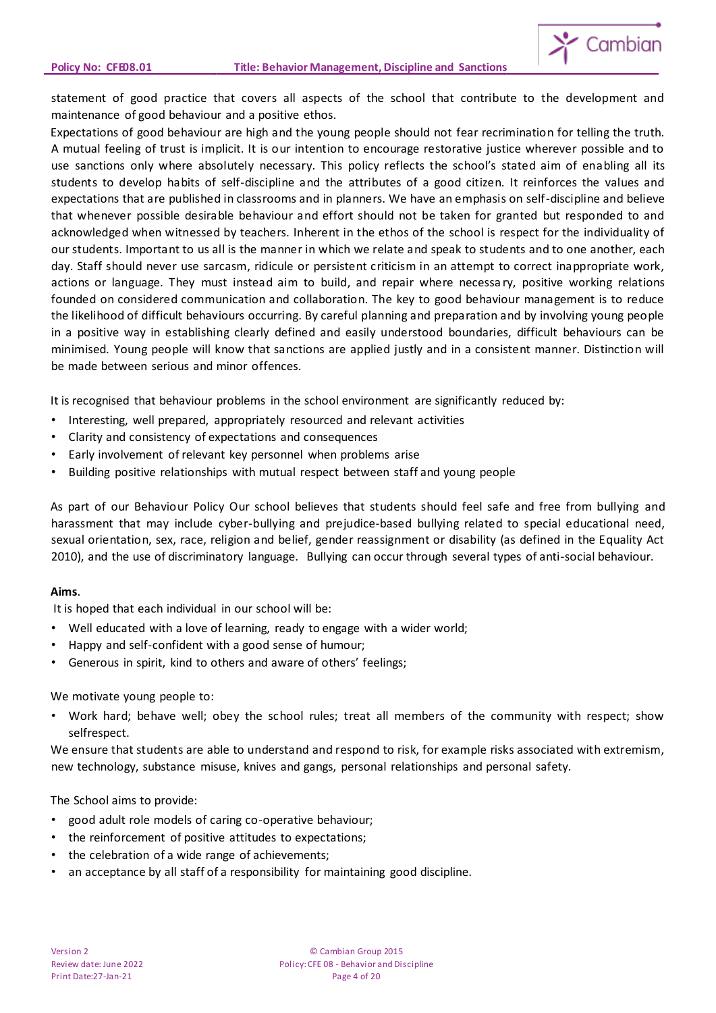

statement of good practice that covers all aspects of the school that contribute to the development and maintenance of good behaviour and a positive ethos.

Expectations of good behaviour are high and the young people should not fear recrimination for telling the truth. A mutual feeling of trust is implicit. It is our intention to encourage restorative justice wherever possible and to use sanctions only where absolutely necessary. This policy reflects the school's stated aim of enabling all its students to develop habits of self-discipline and the attributes of a good citizen. It reinforces the values and expectations that are published in classrooms and in planners. We have an emphasis on self-discipline and believe that whenever possible desirable behaviour and effort should not be taken for granted but responded to and acknowledged when witnessed by teachers. Inherent in the ethos of the school is respect for the individuality of our students. Important to us all is the manner in which we relate and speak to students and to one another, each day. Staff should never use sarcasm, ridicule or persistent criticism in an attempt to correct inappropriate work, actions or language. They must instead aim to build, and repair where necessa ry, positive working relations founded on considered communication and collaboration. The key to good behaviour management is to reduce the likelihood of difficult behaviours occurring. By careful planning and preparation and by involving young people in a positive way in establishing clearly defined and easily understood boundaries, difficult behaviours can be minimised. Young people will know that sanctions are applied justly and in a consistent manner. Distinction will be made between serious and minor offences.

It is recognised that behaviour problems in the school environment are significantly reduced by:

- Interesting, well prepared, appropriately resourced and relevant activities
- Clarity and consistency of expectations and consequences
- Early involvement of relevant key personnel when problems arise
- Building positive relationships with mutual respect between staff and young people

As part of our Behaviour Policy Our school believes that students should feel safe and free from bullying and harassment that may include cyber-bullying and prejudice-based bullying related to special educational need, sexual orientation, sex, race, religion and belief, gender reassignment or disability (as defined in the Equality Act 2010), and the use of discriminatory language. Bullying can occur through several types of anti-social behaviour.

#### **Aims**.

It is hoped that each individual in our school will be:

- Well educated with a love of learning, ready to engage with a wider world;
- Happy and self-confident with a good sense of humour;
- Generous in spirit, kind to others and aware of others' feelings;

#### We motivate young people to:

• Work hard; behave well; obey the school rules; treat all members of the community with respect; show selfrespect.

We ensure that students are able to understand and respond to risk, for example risks associated with extremism, new technology, substance misuse, knives and gangs, personal relationships and personal safety.

#### The School aims to provide:

- good adult role models of caring co-operative behaviour;
- the reinforcement of positive attitudes to expectations;
- the celebration of a wide range of achievements;
- an acceptance by all staff of a responsibility for maintaining good discipline.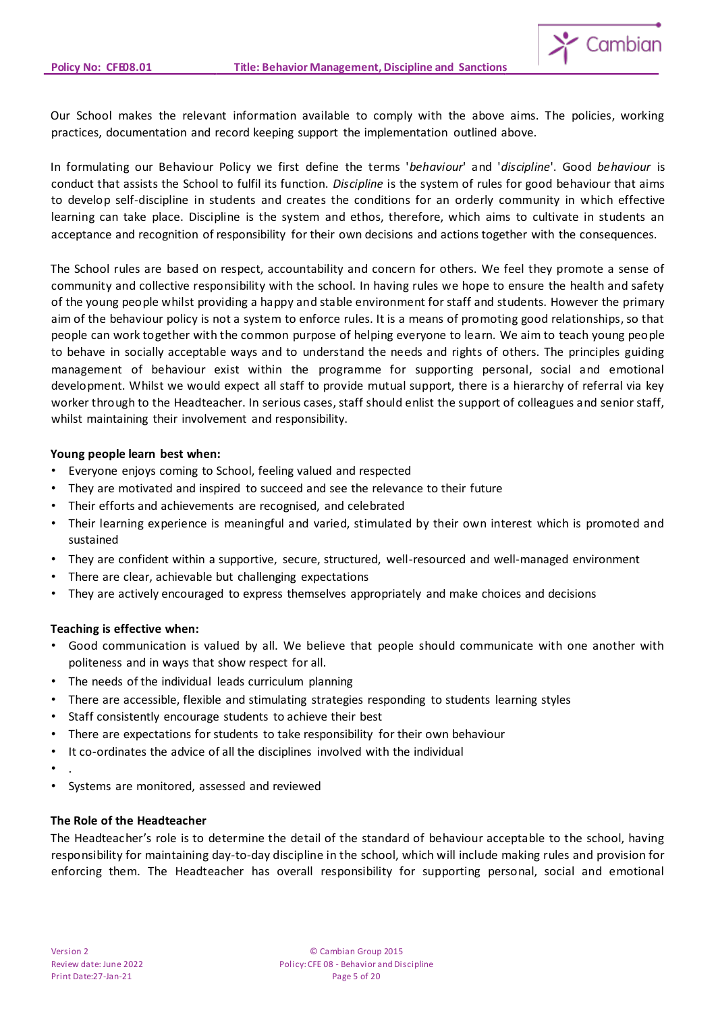

Our School makes the relevant information available to comply with the above aims. The policies, working practices, documentation and record keeping support the implementation outlined above.

In formulating our Behaviour Policy we first define the terms '*behaviour*' and '*discipline*'. Good *behaviour* is conduct that assists the School to fulfil its function. *Discipline* is the system of rules for good behaviour that aims to develop self-discipline in students and creates the conditions for an orderly community in which effective learning can take place. Discipline is the system and ethos, therefore, which aims to cultivate in students an acceptance and recognition of responsibility for their own decisions and actions together with the consequences.

The School rules are based on respect, accountability and concern for others. We feel they promote a sense of community and collective responsibility with the school. In having rules we hope to ensure the health and safety of the young people whilst providing a happy and stable environment for staff and students. However the primary aim of the behaviour policy is not a system to enforce rules. It is a means of promoting good relationships, so that people can work together with the common purpose of helping everyone to learn. We aim to teach young people to behave in socially acceptable ways and to understand the needs and rights of others. The principles guiding management of behaviour exist within the programme for supporting personal, social and emotional development. Whilst we would expect all staff to provide mutual support, there is a hierarchy of referral via key worker through to the Headteacher. In serious cases, staff should enlist the support of colleagues and senior staff, whilst maintaining their involvement and responsibility.

# **Young people learn best when:**

- Everyone enjoys coming to School, feeling valued and respected
- They are motivated and inspired to succeed and see the relevance to their future
- Their efforts and achievements are recognised, and celebrated
- Their learning experience is meaningful and varied, stimulated by their own interest which is promoted and sustained
- They are confident within a supportive, secure, structured, well-resourced and well-managed environment
- There are clear, achievable but challenging expectations
- They are actively encouraged to express themselves appropriately and make choices and decisions

# **Teaching is effective when:**

- Good communication is valued by all. We believe that people should communicate with one another with politeness and in ways that show respect for all.
- The needs of the individual leads curriculum planning
- There are accessible, flexible and stimulating strategies responding to students learning styles
- Staff consistently encourage students to achieve their best
- There are expectations for students to take responsibility for their own behaviour
- It co-ordinates the advice of all the disciplines involved with the individual
- .
- Systems are monitored, assessed and reviewed

# **The Role of the Headteacher**

The Headteacher's role is to determine the detail of the standard of behaviour acceptable to the school, having responsibility for maintaining day-to-day discipline in the school, which will include making rules and provision for enforcing them. The Headteacher has overall responsibility for supporting personal, social and emotional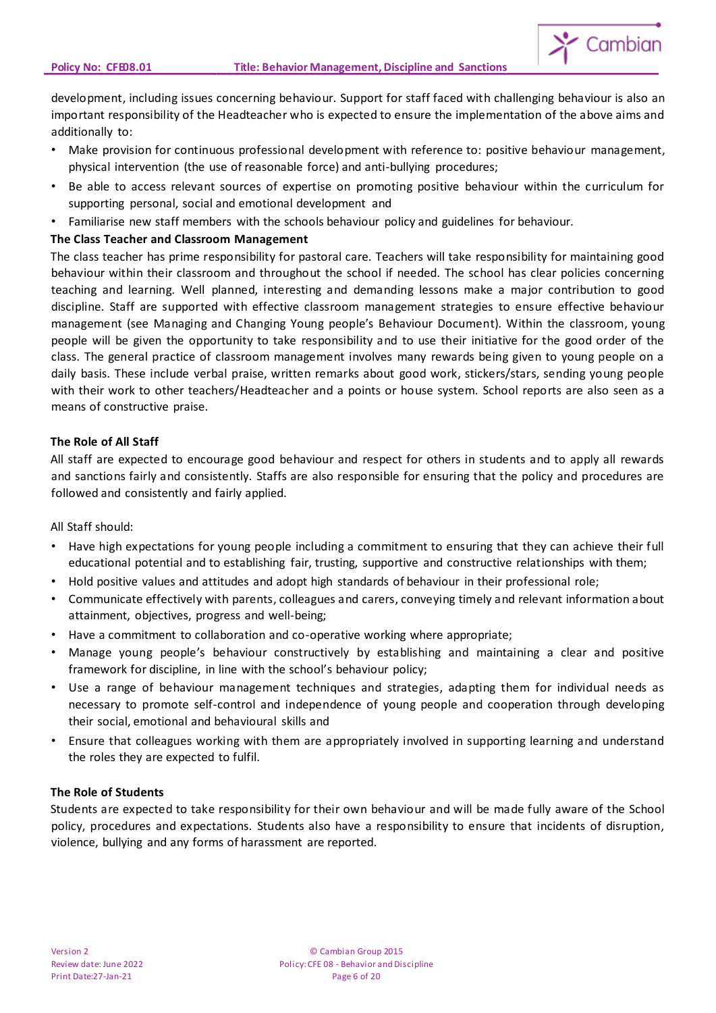

development, including issues concerning behaviour. Support for staff faced with challenging behaviour is also an important responsibility of the Headteacher who is expected to ensure the implementation of the above aims and additionally to:

- Make provision for continuous professional development with reference to: positive behaviour management, physical intervention (the use of reasonable force) and anti-bullying procedures;
- Be able to access relevant sources of expertise on promoting positive behaviour within the curriculum for supporting personal, social and emotional development and
- Familiarise new staff members with the schools behaviour policy and guidelines for behaviour.

# **The Class Teacher and Classroom Management**

The class teacher has prime responsibility for pastoral care. Teachers will take responsibility for maintaining good behaviour within their classroom and throughout the school if needed. The school has clear policies concerning teaching and learning. Well planned, interesting and demanding lessons make a major contribution to good discipline. Staff are supported with effective classroom management strategies to ensure effective behaviour management (see Managing and Changing Young people's Behaviour Document). Within the classroom, young people will be given the opportunity to take responsibility and to use their initiative for the good order of the class. The general practice of classroom management involves many rewards being given to young people on a daily basis. These include verbal praise, written remarks about good work, stickers/stars, sending young people with their work to other teachers/Headteacher and a points or house system. School reports are also seen as a means of constructive praise.

# **The Role of All Staff**

All staff are expected to encourage good behaviour and respect for others in students and to apply all rewards and sanctions fairly and consistently. Staffs are also responsible for ensuring that the policy and procedures are followed and consistently and fairly applied.

# All Staff should:

- Have high expectations for young people including a commitment to ensuring that they can achieve their full educational potential and to establishing fair, trusting, supportive and constructive relationships with them;
- Hold positive values and attitudes and adopt high standards of behaviour in their professional role;
- Communicate effectively with parents, colleagues and carers, conveying timely and relevant information about attainment, objectives, progress and well-being;
- Have a commitment to collaboration and co-operative working where appropriate;
- Manage young people's behaviour constructively by establishing and maintaining a clear and positive framework for discipline, in line with the school's behaviour policy;
- Use a range of behaviour management techniques and strategies, adapting them for individual needs as necessary to promote self-control and independence of young people and cooperation through developing their social, emotional and behavioural skills and
- Ensure that colleagues working with them are appropriately involved in supporting learning and understand the roles they are expected to fulfil.

# **The Role of Students**

Students are expected to take responsibility for their own behaviour and will be made fully aware of the School policy, procedures and expectations. Students also have a responsibility to ensure that incidents of disruption, violence, bullying and any forms of harassment are reported.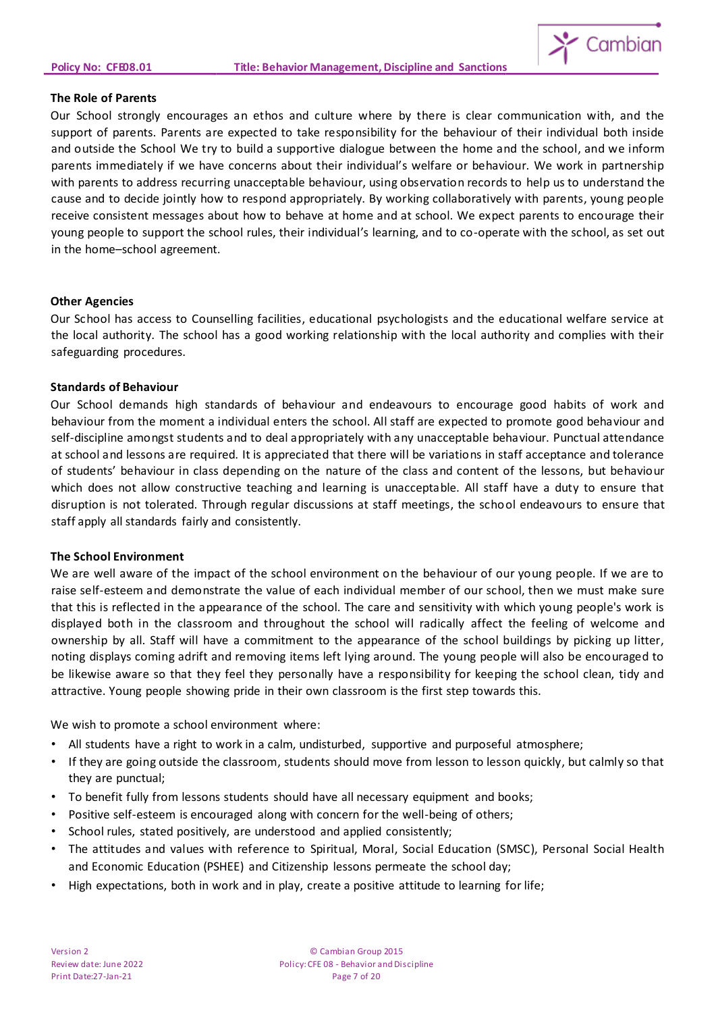

#### **The Role of Parents**

Our School strongly encourages an ethos and culture where by there is clear communication with, and the support of parents. Parents are expected to take responsibility for the behaviour of their individual both inside and outside the School We try to build a supportive dialogue between the home and the school, and we inform parents immediately if we have concerns about their individual's welfare or behaviour. We work in partnership with parents to address recurring unacceptable behaviour, using observation records to help us to understand the cause and to decide jointly how to respond appropriately. By working collaboratively with parents, young people receive consistent messages about how to behave at home and at school. We expect parents to encourage their young people to support the school rules, their individual's learning, and to co-operate with the school, as set out in the home–school agreement.

#### **Other Agencies**

Our School has access to Counselling facilities, educational psychologists and the educational welfare service at the local authority. The school has a good working relationship with the local authority and complies with their safeguarding procedures.

#### **Standards of Behaviour**

Our School demands high standards of behaviour and endeavours to encourage good habits of work and behaviour from the moment a individual enters the school. All staff are expected to promote good behaviour and self-discipline amongst students and to deal appropriately with any unacceptable behaviour. Punctual attendance at school and lessons are required. It is appreciated that there will be variations in staff acceptance and tolerance of students' behaviour in class depending on the nature of the class and content of the lessons, but behaviour which does not allow constructive teaching and learning is unacceptable. All staff have a duty to ensure that disruption is not tolerated. Through regular discussions at staff meetings, the school endeavours to ensure that staff apply all standards fairly and consistently.

# **The School Environment**

We are well aware of the impact of the school environment on the behaviour of our young people. If we are to raise self-esteem and demonstrate the value of each individual member of our school, then we must make sure that this is reflected in the appearance of the school. The care and sensitivity with which young people's work is displayed both in the classroom and throughout the school will radically affect the feeling of welcome and ownership by all. Staff will have a commitment to the appearance of the school buildings by picking up litter, noting displays coming adrift and removing items left lying around. The young people will also be encouraged to be likewise aware so that they feel they personally have a responsibility for keeping the school clean, tidy and attractive. Young people showing pride in their own classroom is the first step towards this.

We wish to promote a school environment where:

- All students have a right to work in a calm, undisturbed, supportive and purposeful atmosphere;
- If they are going outside the classroom, students should move from lesson to lesson quickly, but calmly so that they are punctual;
- To benefit fully from lessons students should have all necessary equipment and books;
- Positive self-esteem is encouraged along with concern for the well-being of others;
- School rules, stated positively, are understood and applied consistently;
- The attitudes and values with reference to Spiritual, Moral, Social Education (SMSC), Personal Social Health and Economic Education (PSHEE) and Citizenship lessons permeate the school day;
- High expectations, both in work and in play, create a positive attitude to learning for life;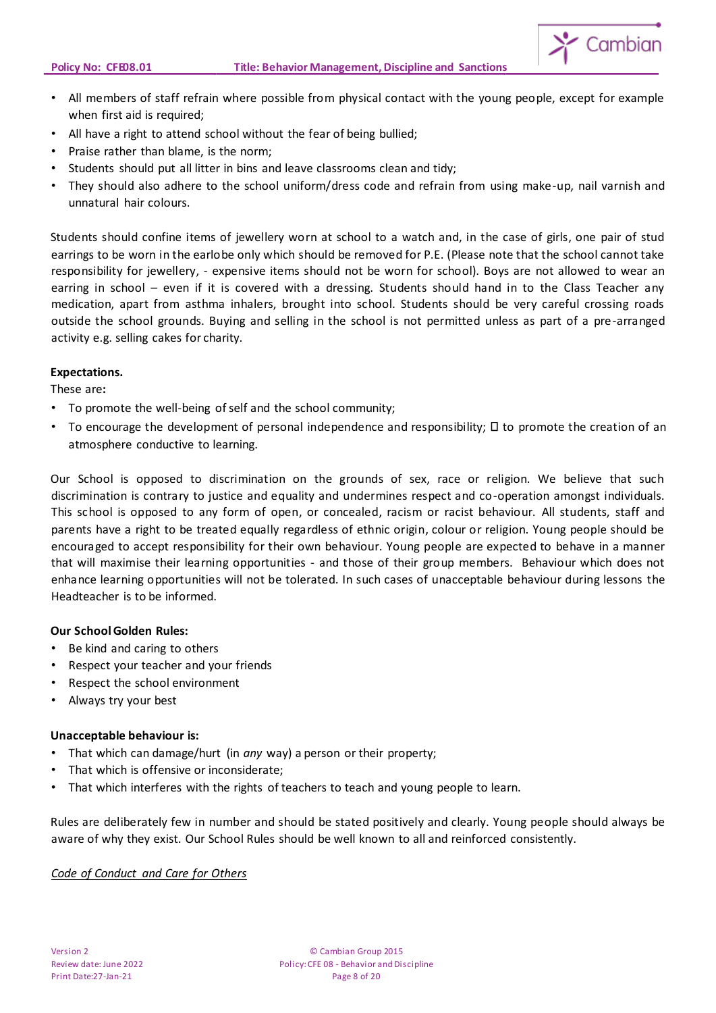

- All members of staff refrain where possible from physical contact with the young people, except for example when first aid is required;
- All have a right to attend school without the fear of being bullied;
- Praise rather than blame, is the norm;
- Students should put all litter in bins and leave classrooms clean and tidy;
- They should also adhere to the school uniform/dress code and refrain from using make-up, nail varnish and unnatural hair colours.

Students should confine items of jewellery worn at school to a watch and, in the case of girls, one pair of stud earrings to be worn in the earlobe only which should be removed for P.E. (Please note that the school cannot take responsibility for jewellery, - expensive items should not be worn for school). Boys are not allowed to wear an earring in school – even if it is covered with a dressing. Students should hand in to the Class Teacher any medication, apart from asthma inhalers, brought into school. Students should be very careful crossing roads outside the school grounds. Buying and selling in the school is not permitted unless as part of a pre-arranged activity e.g. selling cakes for charity.

#### **Expectations.**

These are**:**

- To promote the well-being of self and the school community;
- To encourage the development of personal independence and responsibility;  $\square$  to promote the creation of an atmosphere conductive to learning.

Our School is opposed to discrimination on the grounds of sex, race or religion. We believe that such discrimination is contrary to justice and equality and undermines respect and co-operation amongst individuals. This school is opposed to any form of open, or concealed, racism or racist behaviour. All students, staff and parents have a right to be treated equally regardless of ethnic origin, colour or religion. Young people should be encouraged to accept responsibility for their own behaviour. Young people are expected to behave in a manner that will maximise their learning opportunities - and those of their group members. Behaviour which does not enhance learning opportunities will not be tolerated. In such cases of unacceptable behaviour during lessons the Headteacher is to be informed.

# **Our School Golden Rules:**

- Be kind and caring to others
- Respect your teacher and your friends
- Respect the school environment
- Always try your best

# **Unacceptable behaviour is:**

- That which can damage/hurt (in *any* way) a person or their property;
- That which is offensive or inconsiderate;
- That which interferes with the rights of teachers to teach and young people to learn.

Rules are deliberately few in number and should be stated positively and clearly. Young people should always be aware of why they exist. Our School Rules should be well known to all and reinforced consistently.

# *Code of Conduct and Care for Others*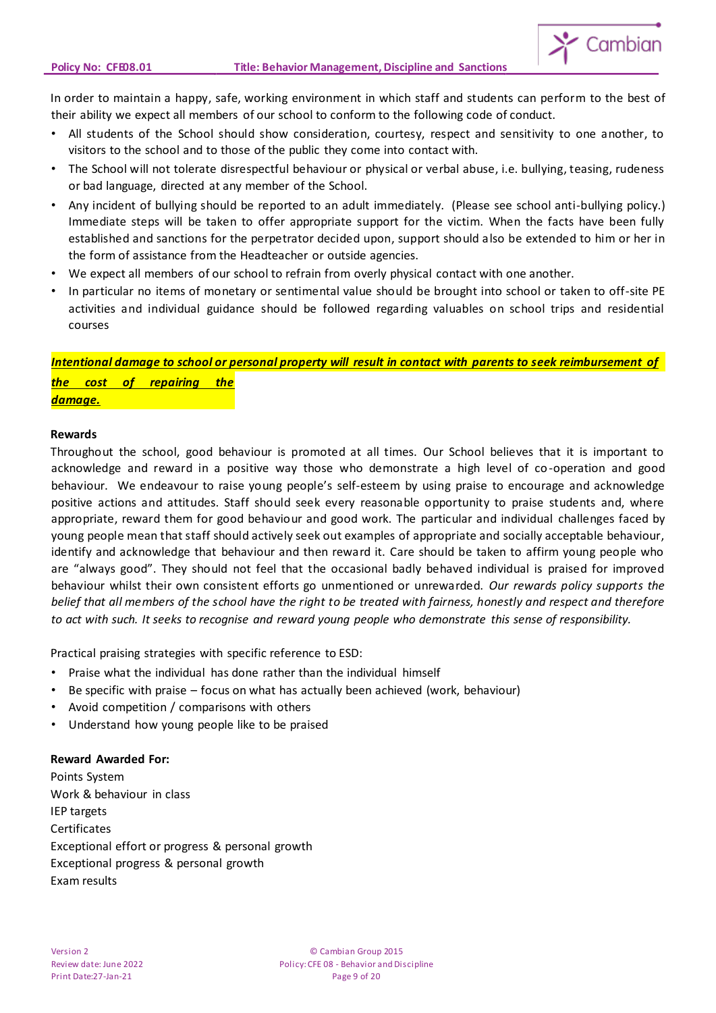

In order to maintain a happy, safe, working environment in which staff and students can perform to the best of their ability we expect all members of our school to conform to the following code of conduct.

- All students of the School should show consideration, courtesy, respect and sensitivity to one another, to visitors to the school and to those of the public they come into contact with.
- The School will not tolerate disrespectful behaviour or physical or verbal abuse, i.e. bullying, teasing, rudeness or bad language, directed at any member of the School.
- Any incident of bullying should be reported to an adult immediately. (Please see school anti-bullying policy.) Immediate steps will be taken to offer appropriate support for the victim. When the facts have been fully established and sanctions for the perpetrator decided upon, support should also be extended to him or her in the form of assistance from the Headteacher or outside agencies.
- We expect all members of our school to refrain from overly physical contact with one another.
- In particular no items of monetary or sentimental value should be brought into school or taken to off-site PE activities and individual guidance should be followed regarding valuables on school trips and residential courses

*Intentional damage to school or personal property will result in contact with parents to seek reimbursement of the cost of repairing the damage.*

#### **Rewards**

Throughout the school, good behaviour is promoted at all times. Our School believes that it is important to acknowledge and reward in a positive way those who demonstrate a high level of co-operation and good behaviour. We endeavour to raise young people's self-esteem by using praise to encourage and acknowledge positive actions and attitudes. Staff should seek every reasonable opportunity to praise students and, where appropriate, reward them for good behaviour and good work. The particular and individual challenges faced by young people mean that staff should actively seek out examples of appropriate and socially acceptable behaviour, identify and acknowledge that behaviour and then reward it. Care should be taken to affirm young people who are "always good". They should not feel that the occasional badly behaved individual is praised for improved behaviour whilst their own consistent efforts go unmentioned or unrewarded. *Our rewards policy supports the belief that all members of the school have the right to be treated with fairness, honestly and respect and therefore to act with such. It seeks to recognise and reward young people who demonstrate this sense of responsibility.*

Practical praising strategies with specific reference to ESD:

- Praise what the individual has done rather than the individual himself
- Be specific with praise focus on what has actually been achieved (work, behaviour)
- Avoid competition / comparisons with others
- Understand how young people like to be praised

# **Reward Awarded For:**

Points System Work & behaviour in class IEP targets Certificates Exceptional effort or progress & personal growth Exceptional progress & personal growth Exam results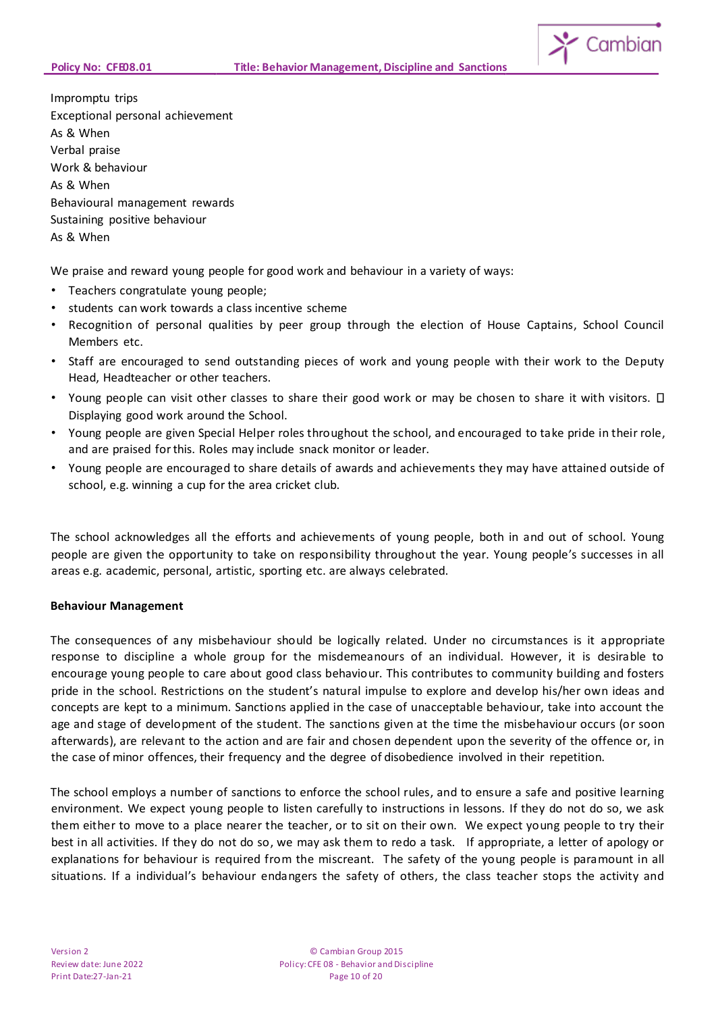

Impromptu trips Exceptional personal achievement As & When Verbal praise Work & behaviour As & When Behavioural management rewards Sustaining positive behaviour As & When

We praise and reward young people for good work and behaviour in a variety of ways:

- Teachers congratulate young people;
- students can work towards a class incentive scheme
- Recognition of personal qualities by peer group through the election of House Captains, School Council Members etc.
- Staff are encouraged to send outstanding pieces of work and young people with their work to the Deputy Head, Headteacher or other teachers.
- Young people can visit other classes to share their good work or may be chosen to share it with visitors.  $\Box$ Displaying good work around the School.
- Young people are given Special Helper roles throughout the school, and encouraged to take pride in their role, and are praised for this. Roles may include snack monitor or leader.
- Young people are encouraged to share details of awards and achievements they may have attained outside of school, e.g. winning a cup for the area cricket club.

The school acknowledges all the efforts and achievements of young people, both in and out of school. Young people are given the opportunity to take on responsibility throughout the year. Young people's successes in all areas e.g. academic, personal, artistic, sporting etc. are always celebrated.

# **Behaviour Management**

The consequences of any misbehaviour should be logically related. Under no circumstances is it appropriate response to discipline a whole group for the misdemeanours of an individual. However, it is desirable to encourage young people to care about good class behaviour. This contributes to community building and fosters pride in the school. Restrictions on the student's natural impulse to explore and develop his/her own ideas and concepts are kept to a minimum. Sanctions applied in the case of unacceptable behaviour, take into account the age and stage of development of the student. The sanctions given at the time the misbehaviour occurs (or soon afterwards), are relevant to the action and are fair and chosen dependent upon the severity of the offence or, in the case of minor offences, their frequency and the degree of disobedience involved in their repetition.

The school employs a number of sanctions to enforce the school rules, and to ensure a safe and positive learning environment. We expect young people to listen carefully to instructions in lessons. If they do not do so, we ask them either to move to a place nearer the teacher, or to sit on their own. We expect young people to try their best in all activities. If they do not do so, we may ask them to redo a task. If appropriate, a letter of apology or explanations for behaviour is required from the miscreant. The safety of the young people is paramount in all situations. If a individual's behaviour endangers the safety of others, the class teacher stops the activity and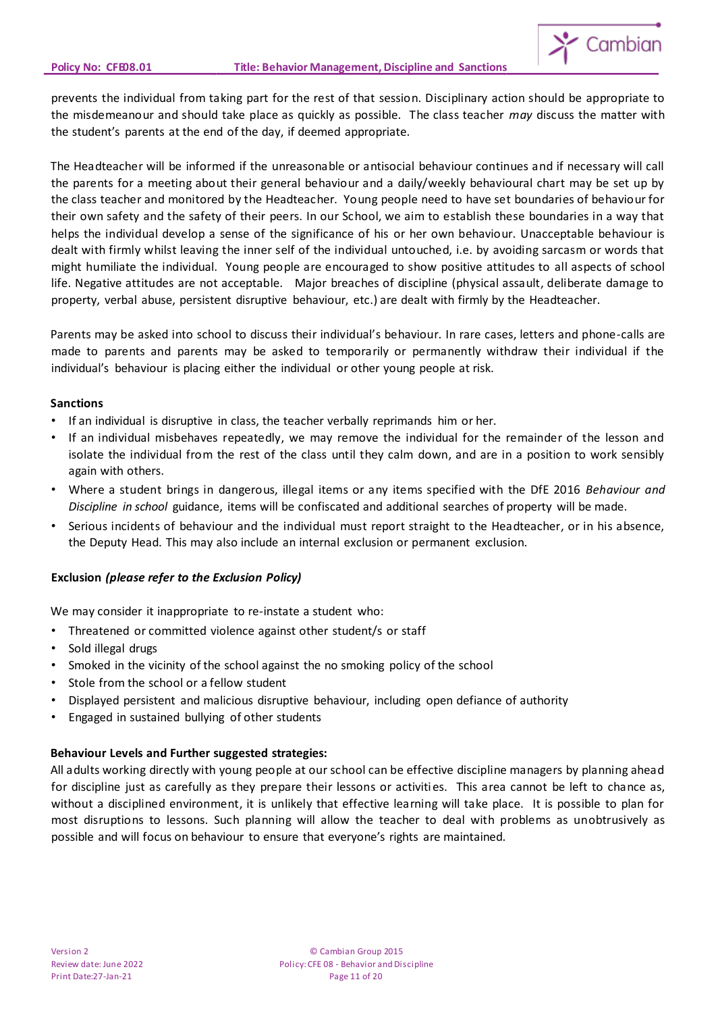

prevents the individual from taking part for the rest of that session. Disciplinary action should be appropriate to the misdemeanour and should take place as quickly as possible. The class teacher *may* discuss the matter with the student's parents at the end of the day, if deemed appropriate.

The Headteacher will be informed if the unreasonable or antisocial behaviour continues and if necessary will call the parents for a meeting about their general behaviour and a daily/weekly behavioural chart may be set up by the class teacher and monitored by the Headteacher. Young people need to have set boundaries of behaviour for their own safety and the safety of their peers. In our School, we aim to establish these boundaries in a way that helps the individual develop a sense of the significance of his or her own behaviour. Unacceptable behaviour is dealt with firmly whilst leaving the inner self of the individual untouched, i.e. by avoiding sarcasm or words that might humiliate the individual. Young people are encouraged to show positive attitudes to all aspects of school life. Negative attitudes are not acceptable. Major breaches of discipline (physical assault, deliberate damage to property, verbal abuse, persistent disruptive behaviour, etc.) are dealt with firmly by the Headteacher.

Parents may be asked into school to discuss their individual's behaviour. In rare cases, letters and phone-calls are made to parents and parents may be asked to temporarily or permanently withdraw their individual if the individual's behaviour is placing either the individual or other young people at risk.

#### **Sanctions**

- If an individual is disruptive in class, the teacher verbally reprimands him or her.
- If an individual misbehaves repeatedly, we may remove the individual for the remainder of the lesson and isolate the individual from the rest of the class until they calm down, and are in a position to work sensibly again with others.
- Where a student brings in dangerous, illegal items or any items specified with the DfE 2016 *Behaviour and Discipline in school* guidance, items will be confiscated and additional searches of property will be made.
- Serious incidents of behaviour and the individual must report straight to the Headteacher, or in his absence, the Deputy Head. This may also include an internal exclusion or permanent exclusion.

# **Exclusion** *(please refer to the Exclusion Policy)*

We may consider it inappropriate to re-instate a student who:

- Threatened or committed violence against other student/s or staff
- Sold illegal drugs
- Smoked in the vicinity of the school against the no smoking policy of the school
- Stole from the school or a fellow student
- Displayed persistent and malicious disruptive behaviour, including open defiance of authority
- Engaged in sustained bullying of other students

# **Behaviour Levels and Further suggested strategies:**

All adults working directly with young people at our school can be effective discipline managers by planning ahead for discipline just as carefully as they prepare their lessons or activities. This area cannot be left to chance as, without a disciplined environment, it is unlikely that effective learning will take place. It is possible to plan for most disruptions to lessons. Such planning will allow the teacher to deal with problems as unobtrusively as possible and will focus on behaviour to ensure that everyone's rights are maintained.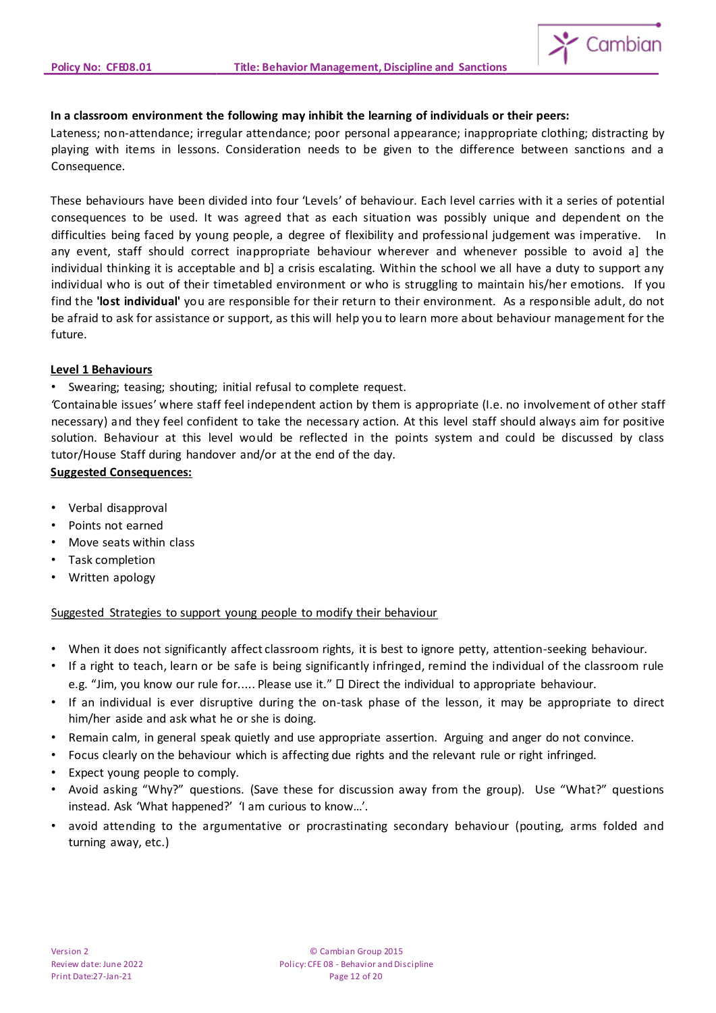

#### **In a classroom environment the following may inhibit the learning of individuals or their peers:**

Lateness; non-attendance; irregular attendance; poor personal appearance; inappropriate clothing; distracting by playing with items in lessons. Consideration needs to be given to the difference between sanctions and a Consequence.

These behaviours have been divided into four 'Levels' of behaviour. Each level carries with it a series of potential consequences to be used. It was agreed that as each situation was possibly unique and dependent on the difficulties being faced by young people, a degree of flexibility and professional judgement was imperative. In any event, staff should correct inappropriate behaviour wherever and whenever possible to avoid a] the individual thinking it is acceptable and b] a crisis escalating. Within the school we all have a duty to support any individual who is out of their timetabled environment or who is struggling to maintain his/her emotions.If you find the **'lost individual'** you are responsible for their return to their environment. As a responsible adult, do not be afraid to ask for assistance or support, as this will help you to learn more about behaviour management for the future.

#### **Level 1 Behaviours**

• Swearing; teasing; shouting; initial refusal to complete request.

*'*Containable issues' where staff feel independent action by them is appropriate (I.e. no involvement of other staff necessary) and they feel confident to take the necessary action. At this level staff should always aim for positive solution. Behaviour at this level would be reflected in the points system and could be discussed by class tutor/House Staff during handover and/or at the end of the day.

# **Suggested Consequences:**

- Verbal disapproval
- Points not earned
- Move seats within class
- Task completion
- Written apology

# Suggested Strategies to support young people to modify their behaviour

- When it does not significantly affect classroom rights, it is best to ignore petty, attention-seeking behaviour.
- If a right to teach, learn or be safe is being significantly infringed, remind the individual of the classroom rule e.g. "Jim, you know our rule for..... Please use it."  $\Box$  Direct the individual to appropriate behaviour.
- If an individual is ever disruptive during the on-task phase of the lesson, it may be appropriate to direct him/her aside and ask what he or she is doing.
- Remain calm, in general speak quietly and use appropriate assertion. Arguing and anger do not convince.
- Focus clearly on the behaviour which is affecting due rights and the relevant rule or right infringed.
- Expect young people to comply.
- Avoid asking "Why?" questions. (Save these for discussion away from the group). Use "What?" questions instead. Ask 'What happened?' 'I am curious to know…'.
- avoid attending to the argumentative or procrastinating secondary behaviour (pouting, arms folded and turning away, etc.)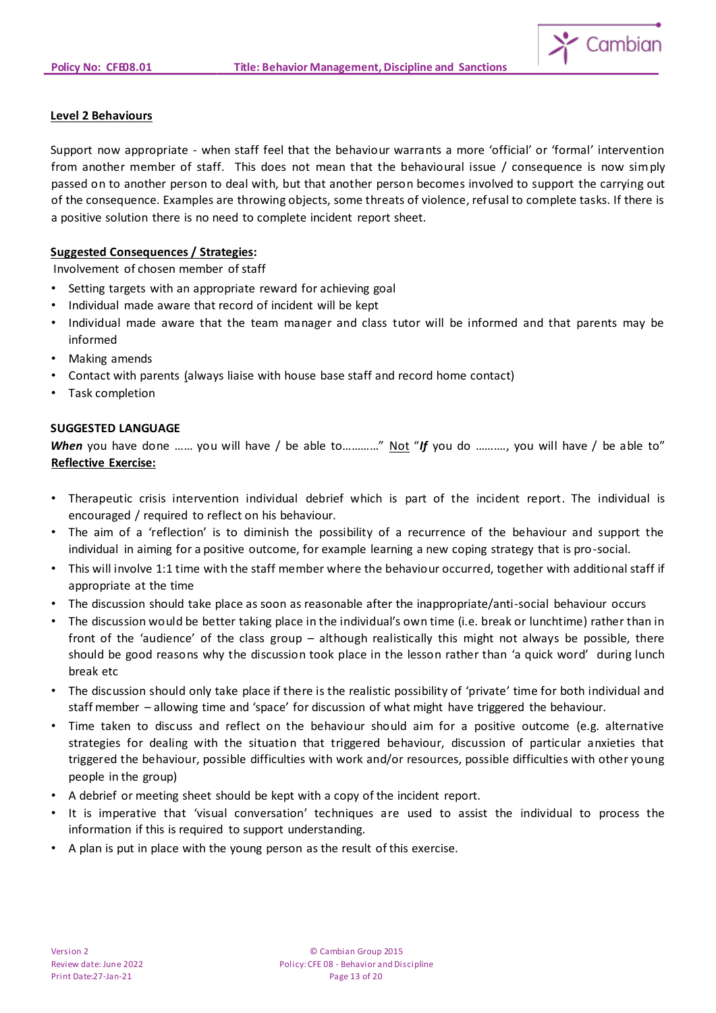

# **Level 2 Behaviours**

Support now appropriate - when staff feel that the behaviour warrants a more 'official' or 'formal' intervention from another member of staff. This does not mean that the behavioural issue / consequence is now simply passed on to another person to deal with, but that another person becomes involved to support the carrying out of the consequence. Examples are throwing objects, some threats of violence, refusal to complete tasks. If there is a positive solution there is no need to complete incident report sheet.

# **Suggested Consequences / Strategies:**

Involvement of chosen member of staff

- Setting targets with an appropriate reward for achieving goal
- Individual made aware that record of incident will be kept
- Individual made aware that the team manager and class tutor will be informed and that parents may be informed
- Making amends
- Contact with parents (always liaise with house base staff and record home contact)
- Task completion

#### **SUGGESTED LANGUAGE**

*When* you have done ...... you will have / be able to............" Not "If you do .........., you will have / be able to" **Reflective Exercise:**

- Therapeutic crisis intervention individual debrief which is part of the incident report. The individual is encouraged / required to reflect on his behaviour.
- The aim of a 'reflection' is to diminish the possibility of a recurrence of the behaviour and support the individual in aiming for a positive outcome, for example learning a new coping strategy that is pro-social.
- This will involve 1:1 time with the staff member where the behaviour occurred, together with additional staff if appropriate at the time
- The discussion should take place as soon as reasonable after the inappropriate/anti-social behaviour occurs
- The discussion would be better taking place in the individual's own time (i.e. break or lunchtime) rather than in front of the 'audience' of the class group – although realistically this might not always be possible, there should be good reasons why the discussion took place in the lesson rather than 'a quick word' during lunch break etc
- The discussion should only take place if there is the realistic possibility of 'private' time for both individual and staff member – allowing time and 'space' for discussion of what might have triggered the behaviour.
- Time taken to discuss and reflect on the behaviour should aim for a positive outcome (e.g. alternative strategies for dealing with the situation that triggered behaviour, discussion of particular anxieties that triggered the behaviour, possible difficulties with work and/or resources, possible difficulties with other young people in the group)
- A debrief or meeting sheet should be kept with a copy of the incident report.
- It is imperative that 'visual conversation' techniques are used to assist the individual to process the information if this is required to support understanding.
- A plan is put in place with the young person as the result of this exercise.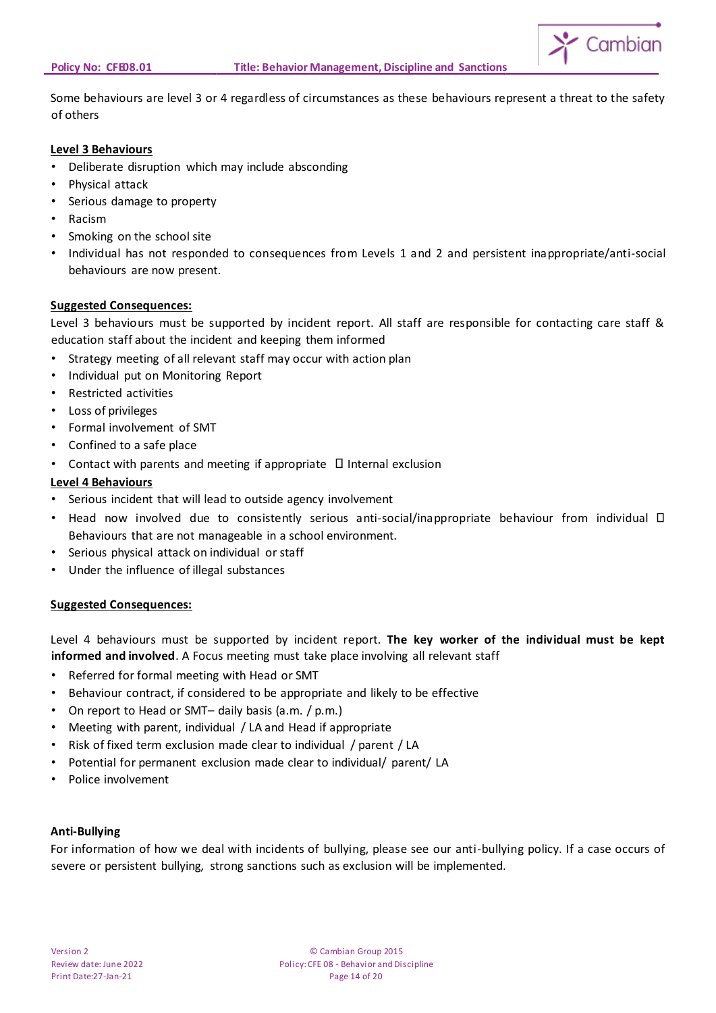

Some behaviours are level 3 or 4 regardless of circumstances as these behaviours represent a threat to the safety of others

# **Level 3 Behaviours**

- Deliberate disruption which may include absconding
- Physical attack
- Serious damage to property
- Racism
- Smoking on the school site
- Individual has not responded to consequences from Levels 1 and 2 and persistent inappropriate/anti-social behaviours are now present.

#### **Suggested Consequences:**

Level 3 behaviours must be supported by incident report. All staff are responsible for contacting care staff & education staff about the incident and keeping them informed

- Strategy meeting of all relevant staff may occur with action plan
- Individual put on Monitoring Report
- Restricted activities
- Loss of privileges
- Formal involvement of SMT
- Confined to a safe place
- Contact with parents and meeting if appropriate  $\Box$  Internal exclusion

# **Level 4 Behaviours**

- Serious incident that will lead to outside agency involvement
- Head now involved due to consistently serious anti-social/inappropriate behaviour from individual  $\square$ Behaviours that are not manageable in a school environment.
- Serious physical attack on individual or staff
- Under the influence of illegal substances

# **Suggested Consequences:**

Level 4 behaviours must be supported by incident report. **The key worker of the individual must be kept informed and involved**. A Focus meeting must take place involving all relevant staff

- Referred for formal meeting with Head or SMT
- Behaviour contract, if considered to be appropriate and likely to be effective
- On report to Head or SMT– daily basis (a.m. / p.m.)
- Meeting with parent, individual / LA and Head if appropriate
- Risk of fixed term exclusion made clear to individual / parent / LA
- Potential for permanent exclusion made clear to individual/ parent/ LA
- Police involvement

#### **Anti-Bullying**

For information of how we deal with incidents of bullying, please see our anti-bullying policy. If a case occurs of severe or persistent bullying, strong sanctions such as exclusion will be implemented.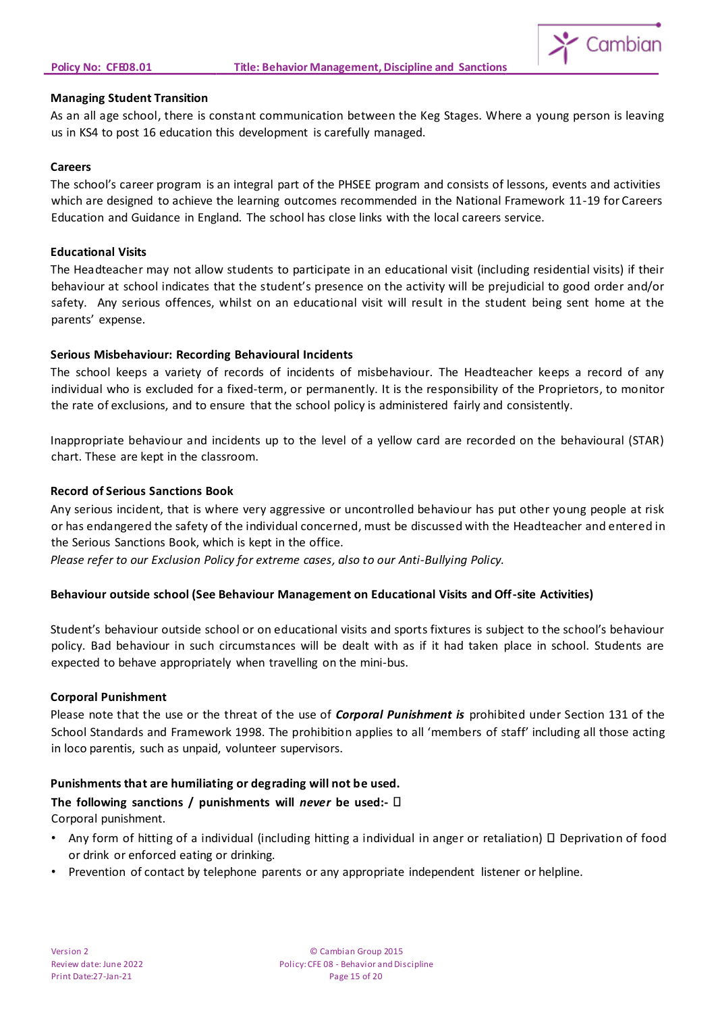

#### **Managing Student Transition**

As an all age school, there is constant communication between the Keg Stages. Where a young person is leaving us in KS4 to post 16 education this development is carefully managed.

#### **Careers**

The school's career program is an integral part of the PHSEE program and consists of lessons, events and activities which are designed to achieve the learning outcomes recommended in the National Framework 11-19 for Careers Education and Guidance in England. The school has close links with the local careers service.

#### **Educational Visits**

The Headteacher may not allow students to participate in an educational visit (including residential visits) if their behaviour at school indicates that the student's presence on the activity will be prejudicial to good order and/or safety. Any serious offences, whilst on an educational visit will result in the student being sent home at the parents' expense.

# **Serious Misbehaviour: Recording Behavioural Incidents**

The school keeps a variety of records of incidents of misbehaviour. The Headteacher keeps a record of any individual who is excluded for a fixed-term, or permanently. It is the responsibility of the Proprietors, to monitor the rate of exclusions, and to ensure that the school policy is administered fairly and consistently.

Inappropriate behaviour and incidents up to the level of a yellow card are recorded on the behavioural (STAR) chart. These are kept in the classroom.

#### **Record of Serious Sanctions Book**

Any serious incident, that is where very aggressive or uncontrolled behaviour has put other young people at risk or has endangered the safety of the individual concerned, must be discussed with the Headteacher and entered in the Serious Sanctions Book, which is kept in the office.

*Please refer to our Exclusion Policy for extreme cases, also to our Anti-Bullying Policy.*

# **Behaviour outside school (See Behaviour Management on Educational Visits and Off-site Activities)**

Student's behaviour outside school or on educational visits and sports fixtures is subject to the school's behaviour policy. Bad behaviour in such circumstances will be dealt with as if it had taken place in school. Students are expected to behave appropriately when travelling on the mini-bus.

#### **Corporal Punishment**

Please note that the use or the threat of the use of *Corporal Punishment is* prohibited under Section 131 of the School Standards and Framework 1998. The prohibition applies to all 'members of staff' including all those acting in loco parentis, such as unpaid, volunteer supervisors.

# **Punishments that are humiliating or degrading will not be used.**

# **The following sanctions / punishments will** *never* **be used:-** Corporal punishment.

- Any form of hitting of a individual (including hitting a individual in anger or retaliation)  $\Box$  Deprivation of food or drink or enforced eating or drinking.
- Prevention of contact by telephone parents or any appropriate independent listener or helpline.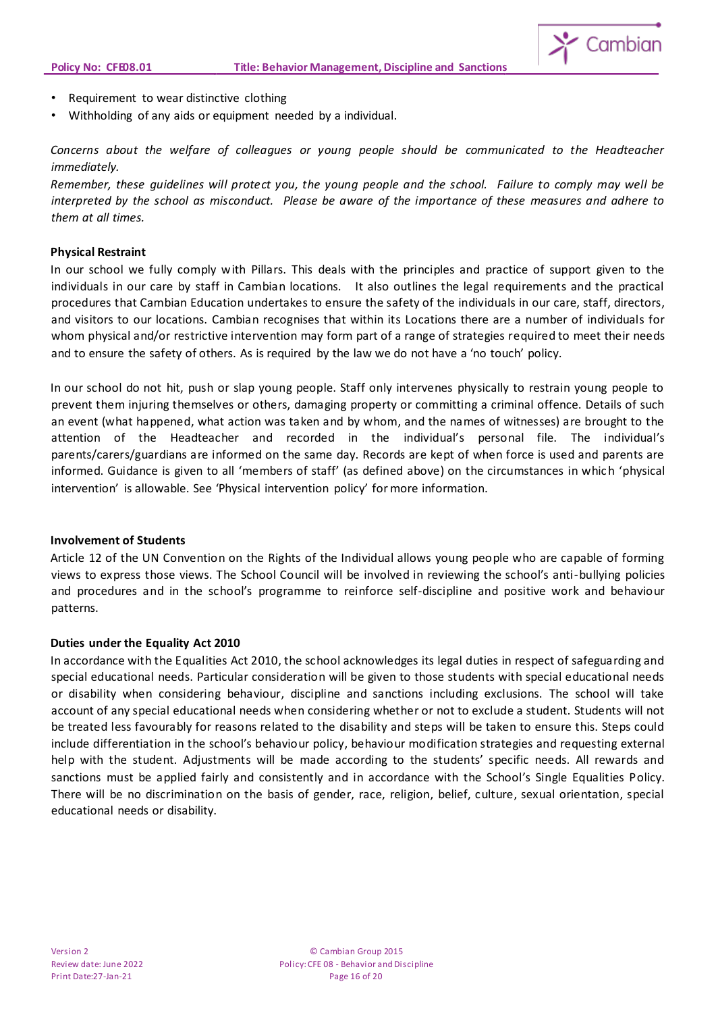

- Requirement to wear distinctive clothing
- Withholding of any aids or equipment needed by a individual.

*Concerns about the welfare of colleagues or young people should be communicated to the Headteacher immediately.*

*Remember, these guidelines will protect you, the young people and the school. Failure to comply may well be interpreted by the school as misconduct. Please be aware of the importance of these measures and adhere to them at all times.*

#### **Physical Restraint**

In our school we fully comply with Pillars. This deals with the principles and practice of support given to the individuals in our care by staff in Cambian locations. It also outlines the legal requirements and the practical procedures that Cambian Education undertakes to ensure the safety of the individuals in our care, staff, directors, and visitors to our locations. Cambian recognises that within its Locations there are a number of individuals for whom physical and/or restrictive intervention may form part of a range of strategies required to meet their needs and to ensure the safety of others. As is required by the law we do not have a 'no touch' policy.

In our school do not hit, push or slap young people. Staff only intervenes physically to restrain young people to prevent them injuring themselves or others, damaging property or committing a criminal offence. Details of such an event (what happened, what action was taken and by whom, and the names of witnesses) are brought to the attention of the Headteacher and recorded in the individual's personal file. The individual's parents/carers/guardians are informed on the same day. Records are kept of when force is used and parents are informed. Guidance is given to all 'members of staff' (as defined above) on the circumstances in which 'physical intervention' is allowable. See 'Physical intervention policy' for more information.

#### **Involvement of Students**

Article 12 of the UN Convention on the Rights of the Individual allows young people who are capable of forming views to express those views. The School Council will be involved in reviewing the school's anti-bullying policies and procedures and in the school's programme to reinforce self-discipline and positive work and behaviour patterns.

#### **Duties under the Equality Act 2010**

In accordance with the Equalities Act 2010, the school acknowledges its legal duties in respect of safeguarding and special educational needs. Particular consideration will be given to those students with special educational needs or disability when considering behaviour, discipline and sanctions including exclusions. The school will take account of any special educational needs when considering whether or not to exclude a student. Students will not be treated less favourably for reasons related to the disability and steps will be taken to ensure this. Steps could include differentiation in the school's behaviour policy, behaviour modification strategies and requesting external help with the student. Adjustments will be made according to the students' specific needs. All rewards and sanctions must be applied fairly and consistently and in accordance with the School's Single Equalities Policy. There will be no discrimination on the basis of gender, race, religion, belief, culture, sexual orientation, special educational needs or disability.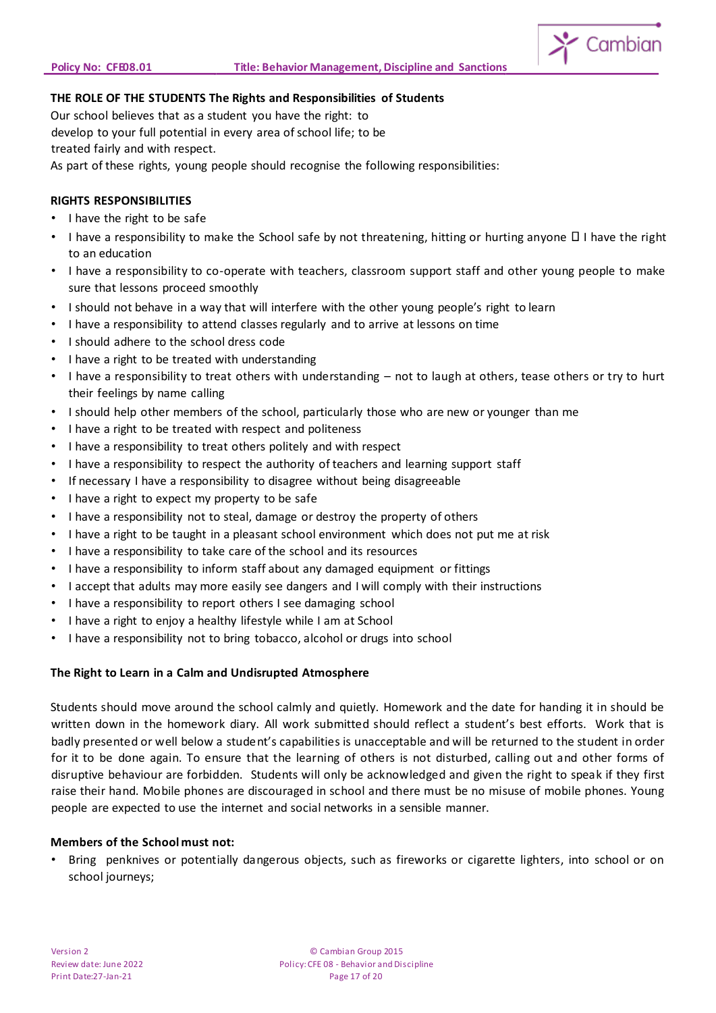

# **THE ROLE OF THE STUDENTS The Rights and Responsibilities of Students**

Our school believes that as a student you have the right: to develop to your full potential in every area of school life; to be treated fairly and with respect. As part of these rights, young people should recognise the following responsibilities:

# **RIGHTS RESPONSIBILITIES**

- I have the right to be safe
- I have a responsibility to make the School safe by not threatening, hitting or hurting anyone  $\Box$  I have the right to an education
- I have a responsibility to co-operate with teachers, classroom support staff and other young people to make sure that lessons proceed smoothly
- I should not behave in a way that will interfere with the other young people's right to learn
- I have a responsibility to attend classes regularly and to arrive at lessons on time
- I should adhere to the school dress code
- I have a right to be treated with understanding
- I have a responsibility to treat others with understanding not to laugh at others, tease others or try to hurt their feelings by name calling
- I should help other members of the school, particularly those who are new or younger than me
- I have a right to be treated with respect and politeness
- I have a responsibility to treat others politely and with respect
- I have a responsibility to respect the authority of teachers and learning support staff
- If necessary I have a responsibility to disagree without being disagreeable
- I have a right to expect my property to be safe
- I have a responsibility not to steal, damage or destroy the property of others
- I have a right to be taught in a pleasant school environment which does not put me at risk
- I have a responsibility to take care of the school and its resources
- I have a responsibility to inform staff about any damaged equipment or fittings
- I accept that adults may more easily see dangers and I will comply with their instructions
- I have a responsibility to report others I see damaging school
- I have a right to enjoy a healthy lifestyle while I am at School
- I have a responsibility not to bring tobacco, alcohol or drugs into school

# **The Right to Learn in a Calm and Undisrupted Atmosphere**

Students should move around the school calmly and quietly. Homework and the date for handing it in should be written down in the homework diary. All work submitted should reflect a student's best efforts. Work that is badly presented or well below a student's capabilities is unacceptable and will be returned to the student in order for it to be done again. To ensure that the learning of others is not disturbed, calling out and other forms of disruptive behaviour are forbidden. Students will only be acknowledged and given the right to speak if they first raise their hand. Mobile phones are discouraged in school and there must be no misuse of mobile phones. Young people are expected to use the internet and social networks in a sensible manner.

#### **Members of the School must not:**

• Bring penknives or potentially dangerous objects, such as fireworks or cigarette lighters, into school or on school journeys;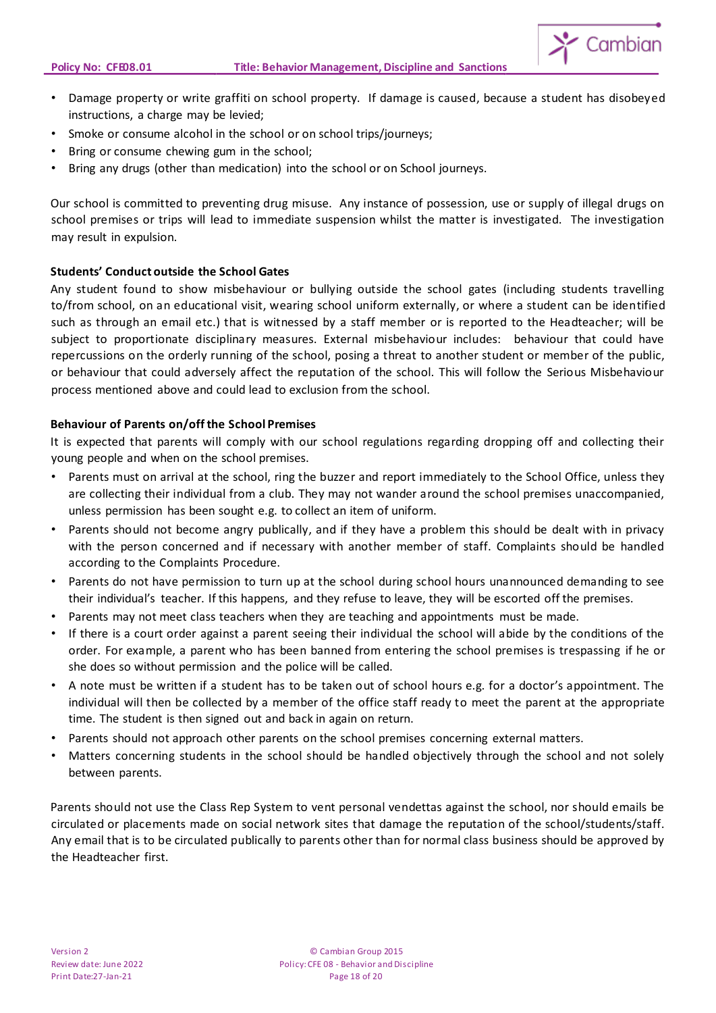

- Damage property or write graffiti on school property. If damage is caused, because a student has disobeyed instructions, a charge may be levied;
- Smoke or consume alcohol in the school or on school trips/journeys;
- Bring or consume chewing gum in the school;
- Bring any drugs (other than medication) into the school or on School journeys.

Our school is committed to preventing drug misuse. Any instance of possession, use or supply of illegal drugs on school premises or trips will lead to immediate suspension whilst the matter is investigated. The investigation may result in expulsion.

# **Students' Conduct outside the School Gates**

Any student found to show misbehaviour or bullying outside the school gates (including students travelling to/from school, on an educational visit, wearing school uniform externally, or where a student can be identified such as through an email etc.) that is witnessed by a staff member or is reported to the Headteacher; will be subject to proportionate disciplinary measures. External misbehaviour includes: behaviour that could have repercussions on the orderly running of the school, posing a threat to another student or member of the public, or behaviour that could adversely affect the reputation of the school. This will follow the Serious Misbehaviour process mentioned above and could lead to exclusion from the school.

# **Behaviour of Parents on/off the School Premises**

It is expected that parents will comply with our school regulations regarding dropping off and collecting their young people and when on the school premises.

- Parents must on arrival at the school, ring the buzzer and report immediately to the School Office, unless they are collecting their individual from a club. They may not wander around the school premises unaccompanied, unless permission has been sought e.g. to collect an item of uniform.
- Parents should not become angry publically, and if they have a problem this should be dealt with in privacy with the person concerned and if necessary with another member of staff. Complaints should be handled according to the Complaints Procedure.
- Parents do not have permission to turn up at the school during school hours unannounced demanding to see their individual's teacher. If this happens, and they refuse to leave, they will be escorted off the premises.
- Parents may not meet class teachers when they are teaching and appointments must be made.
- If there is a court order against a parent seeing their individual the school will abide by the conditions of the order. For example, a parent who has been banned from entering the school premises is trespassing if he or she does so without permission and the police will be called.
- A note must be written if a student has to be taken out of school hours e.g. for a doctor's appointment. The individual will then be collected by a member of the office staff ready to meet the parent at the appropriate time. The student is then signed out and back in again on return.
- Parents should not approach other parents on the school premises concerning external matters.
- Matters concerning students in the school should be handled objectively through the school and not solely between parents.

Parents should not use the Class Rep System to vent personal vendettas against the school, nor should emails be circulated or placements made on social network sites that damage the reputation of the school/students/staff. Any email that is to be circulated publically to parents other than for normal class business should be approved by the Headteacher first.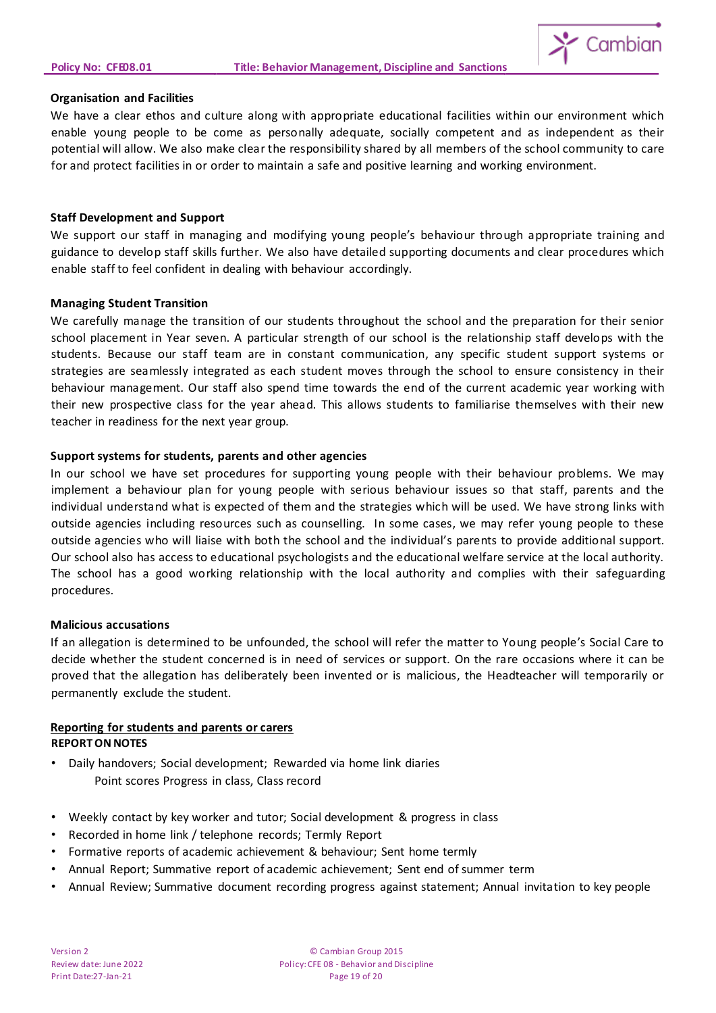

#### **Organisation and Facilities**

We have a clear ethos and culture along with appropriate educational facilities within our environment which enable young people to be come as personally adequate, socially competent and as independent as their potential will allow. We also make clear the responsibility shared by all members of the school community to care for and protect facilities in or order to maintain a safe and positive learning and working environment.

#### **Staff Development and Support**

We support our staff in managing and modifying young people's behaviour through appropriate training and guidance to develop staff skills further. We also have detailed supporting documents and clear procedures which enable staff to feel confident in dealing with behaviour accordingly.

#### **Managing Student Transition**

We carefully manage the transition of our students throughout the school and the preparation for their senior school placement in Year seven. A particular strength of our school is the relationship staff develops with the students. Because our staff team are in constant communication, any specific student support systems or strategies are seamlessly integrated as each student moves through the school to ensure consistency in their behaviour management. Our staff also spend time towards the end of the current academic year working with their new prospective class for the year ahead. This allows students to familiarise themselves with their new teacher in readiness for the next year group.

# **Support systems for students, parents and other agencies**

In our school we have set procedures for supporting young people with their behaviour problems. We may implement a behaviour plan for young people with serious behaviour issues so that staff, parents and the individual understand what is expected of them and the strategies which will be used. We have strong links with outside agencies including resources such as counselling. In some cases, we may refer young people to these outside agencies who will liaise with both the school and the individual's parents to provide additional support. Our school also has access to educational psychologists and the educational welfare service at the local authority. The school has a good working relationship with the local authority and complies with their safeguarding procedures.

#### **Malicious accusations**

If an allegation is determined to be unfounded, the school will refer the matter to Young people's Social Care to decide whether the student concerned is in need of services or support. On the rare occasions where it can be proved that the allegation has deliberately been invented or is malicious, the Headteacher will temporarily or permanently exclude the student.

#### **Reporting for students and parents or carers REPORTON NOTES**

- Daily handovers; Social development; Rewarded via home link diaries Point scores Progress in class, Class record
- Weekly contact by key worker and tutor; Social development & progress in class
- Recorded in home link / telephone records; Termly Report
- Formative reports of academic achievement & behaviour; Sent home termly
- Annual Report; Summative report of academic achievement; Sent end of summer term
- Annual Review; Summative document recording progress against statement; Annual invitation to key people